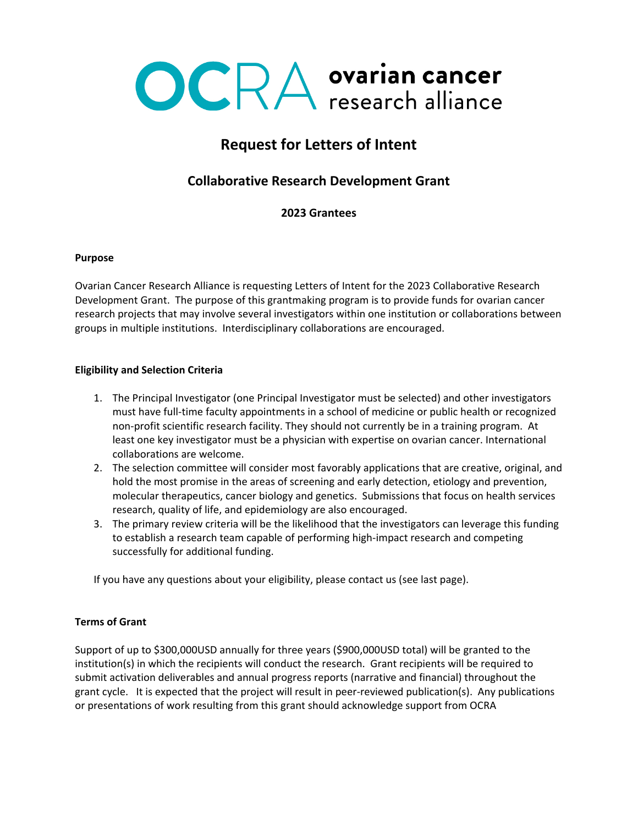

# **Request for Letters of Intent**

## **Collaborative Research Development Grant**

**2023 Grantees**

#### **Purpose**

Ovarian Cancer Research Alliance is requesting Letters of Intent for the 2023 Collaborative Research Development Grant. The purpose of this grantmaking program is to provide funds for ovarian cancer research projects that may involve several investigators within one institution or collaborations between groups in multiple institutions. Interdisciplinary collaborations are encouraged.

#### **Eligibility and Selection Criteria**

- 1. The Principal Investigator (one Principal Investigator must be selected) and other investigators must have full-time faculty appointments in a school of medicine or public health or recognized non-profit scientific research facility. They should not currently be in a training program. At least one key investigator must be a physician with expertise on ovarian cancer. International collaborations are welcome.
- 2. The selection committee will consider most favorably applications that are creative, original, and hold the most promise in the areas of screening and early detection, etiology and prevention, molecular therapeutics, cancer biology and genetics. Submissions that focus on health services research, quality of life, and epidemiology are also encouraged.
- 3. The primary review criteria will be the likelihood that the investigators can leverage this funding to establish a research team capable of performing high-impact research and competing successfully for additional funding.

If you have any questions about your eligibility, please contact us (see last page).

#### **Terms of Grant**

Support of up to \$300,000USD annually for three years (\$900,000USD total) will be granted to the institution(s) in which the recipients will conduct the research. Grant recipients will be required to submit activation deliverables and annual progress reports (narrative and financial) throughout the grant cycle. It is expected that the project will result in peer-reviewed publication(s). Any publications or presentations of work resulting from this grant should acknowledge support from OCRA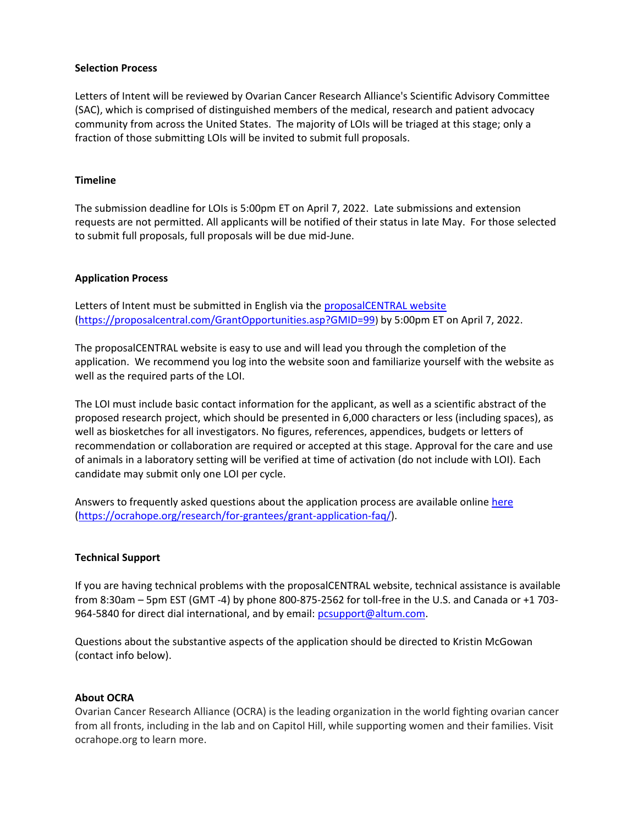#### **Selection Process**

Letters of Intent will be reviewed by Ovarian Cancer Research Alliance's Scientific Advisory Committee (SAC), which is comprised of distinguished members of the medical, research and patient advocacy community from across the United States. The majority of LOIs will be triaged at this stage; only a fraction of those submitting LOIs will be invited to submit full proposals.

#### **Timeline**

The submission deadline for LOIs is 5:00pm ET on April 7, 2022. Late submissions and extension requests are not permitted. All applicants will be notified of their status in late May. For those selected to submit full proposals, full proposals will be due mid-June.

#### **Application Process**

Letters of Intent must be submitted in English via the [proposalCENTRAL website](https://proposalcentral.com/GrantOpportunities.asp?GMID=99) [\(https://proposalcentral.com/GrantOpportunities.asp?GMID=99](https://proposalcentral.com/GrantOpportunities.asp?GMID=99)) by 5:00pm ET on April 7, 2022.

The proposalCENTRAL website is easy to use and will lead you through the completion of the application. We recommend you log into the website soon and familiarize yourself with the website as well as the required parts of the LOI.

The LOI must include basic contact information for the applicant, as well as a scientific abstract of the proposed research project, which should be presented in 6,000 characters or less (including spaces), as well as biosketches for all investigators. No figures, references, appendices, budgets or letters of recommendation or collaboration are required or accepted at this stage. Approval for the care and use of animals in a laboratory setting will be verified at time of activation (do not include with LOI). Each candidate may submit only one LOI per cycle.

Answers to frequently asked questions about the application process are available online [here](https://ocrahope.org/research/for-grantees/grant-application-faq/) [\(https://ocrahope.org/research/for-grantees/grant-application-faq/\)](https://ocrahope.org/research/for-grantees/grant-application-faq/).

#### **Technical Support**

If you are having technical problems with the proposalCENTRAL website, technical assistance is available from 8:30am – 5pm EST (GMT -4) by phone 800-875-2562 for toll-free in the U.S. and Canada or +1 703 964-5840 for direct dial international, and by email: [pcsupport@altum.com.](mailto:pcsupport@altum.com)

Questions about the substantive aspects of the application should be directed to Kristin McGowan (contact info below).

#### **About OCRA**

Ovarian Cancer Research Alliance (OCRA) is the leading organization in the world fighting ovarian cancer from all fronts, including in the lab and on Capitol Hill, while supporting women and their families. Visit ocrahope.org to learn more.